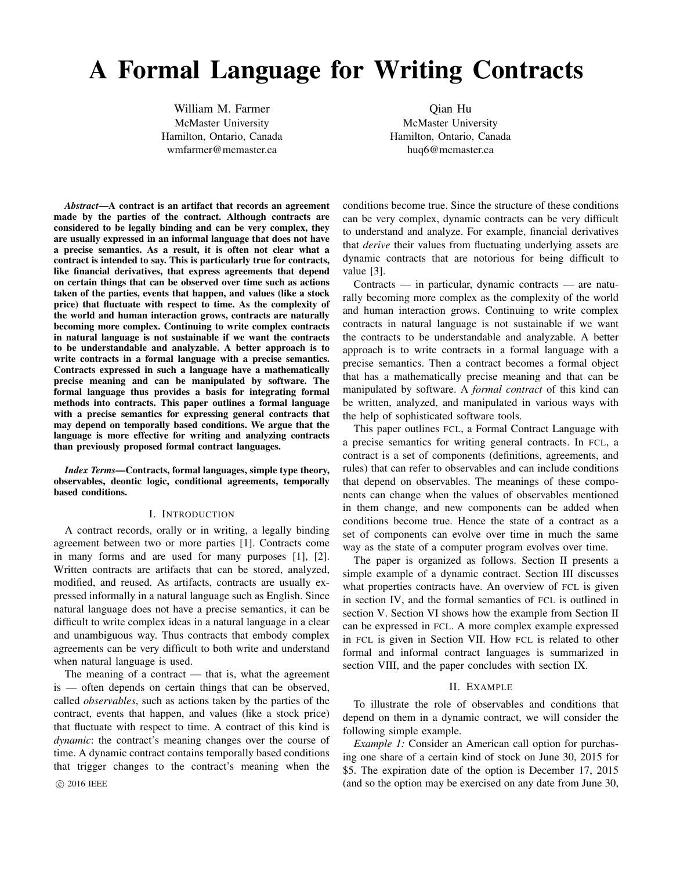# A Formal Language for Writing Contracts

William M. Farmer McMaster University Hamilton, Ontario, Canada wmfarmer@mcmaster.ca

Qian Hu McMaster University Hamilton, Ontario, Canada huq6@mcmaster.ca

*Abstract*—A contract is an artifact that records an agreement made by the parties of the contract. Although contracts are considered to be legally binding and can be very complex, they are usually expressed in an informal language that does not have a precise semantics. As a result, it is often not clear what a contract is intended to say. This is particularly true for contracts, like financial derivatives, that express agreements that depend on certain things that can be observed over time such as actions taken of the parties, events that happen, and values (like a stock price) that fluctuate with respect to time. As the complexity of the world and human interaction grows, contracts are naturally becoming more complex. Continuing to write complex contracts in natural language is not sustainable if we want the contracts to be understandable and analyzable. A better approach is to write contracts in a formal language with a precise semantics. Contracts expressed in such a language have a mathematically precise meaning and can be manipulated by software. The formal language thus provides a basis for integrating formal methods into contracts. This paper outlines a formal language with a precise semantics for expressing general contracts that may depend on temporally based conditions. We argue that the language is more effective for writing and analyzing contracts than previously proposed formal contract languages.

*Index Terms*—Contracts, formal languages, simple type theory, observables, deontic logic, conditional agreements, temporally based conditions.

#### I. INTRODUCTION

A contract records, orally or in writing, a legally binding agreement between two or more parties [1]. Contracts come in many forms and are used for many purposes [1], [2]. Written contracts are artifacts that can be stored, analyzed, modified, and reused. As artifacts, contracts are usually expressed informally in a natural language such as English. Since natural language does not have a precise semantics, it can be difficult to write complex ideas in a natural language in a clear and unambiguous way. Thus contracts that embody complex agreements can be very difficult to both write and understand when natural language is used.

The meaning of a contract  $-$  that is, what the agreement is — often depends on certain things that can be observed, called *observables*, such as actions taken by the parties of the contract, events that happen, and values (like a stock price) that fluctuate with respect to time. A contract of this kind is *dynamic*: the contract's meaning changes over the course of time. A dynamic contract contains temporally based conditions that trigger changes to the contract's meaning when the

conditions become true. Since the structure of these conditions can be very complex, dynamic contracts can be very difficult to understand and analyze. For example, financial derivatives that *derive* their values from fluctuating underlying assets are dynamic contracts that are notorious for being difficult to value [3].

Contracts — in particular, dynamic contracts — are naturally becoming more complex as the complexity of the world and human interaction grows. Continuing to write complex contracts in natural language is not sustainable if we want the contracts to be understandable and analyzable. A better approach is to write contracts in a formal language with a precise semantics. Then a contract becomes a formal object that has a mathematically precise meaning and that can be manipulated by software. A *formal contract* of this kind can be written, analyzed, and manipulated in various ways with the help of sophisticated software tools.

This paper outlines FCL, a Formal Contract Language with a precise semantics for writing general contracts. In FCL, a contract is a set of components (definitions, agreements, and rules) that can refer to observables and can include conditions that depend on observables. The meanings of these components can change when the values of observables mentioned in them change, and new components can be added when conditions become true. Hence the state of a contract as a set of components can evolve over time in much the same way as the state of a computer program evolves over time.

The paper is organized as follows. Section II presents a simple example of a dynamic contract. Section III discusses what properties contracts have. An overview of FCL is given in section IV, and the formal semantics of FCL is outlined in section V. Section VI shows how the example from Section II can be expressed in FCL. A more complex example expressed in FCL is given in Section VII. How FCL is related to other formal and informal contract languages is summarized in section VIII, and the paper concludes with section IX.

### II. EXAMPLE

To illustrate the role of observables and conditions that depend on them in a dynamic contract, we will consider the following simple example.

*Example 1:* Consider an American call option for purchasing one share of a certain kind of stock on June 30, 2015 for \$5. The expiration date of the option is December 17, 2015 c 2016 IEEE (and so the option may be exercised on any date from June 30,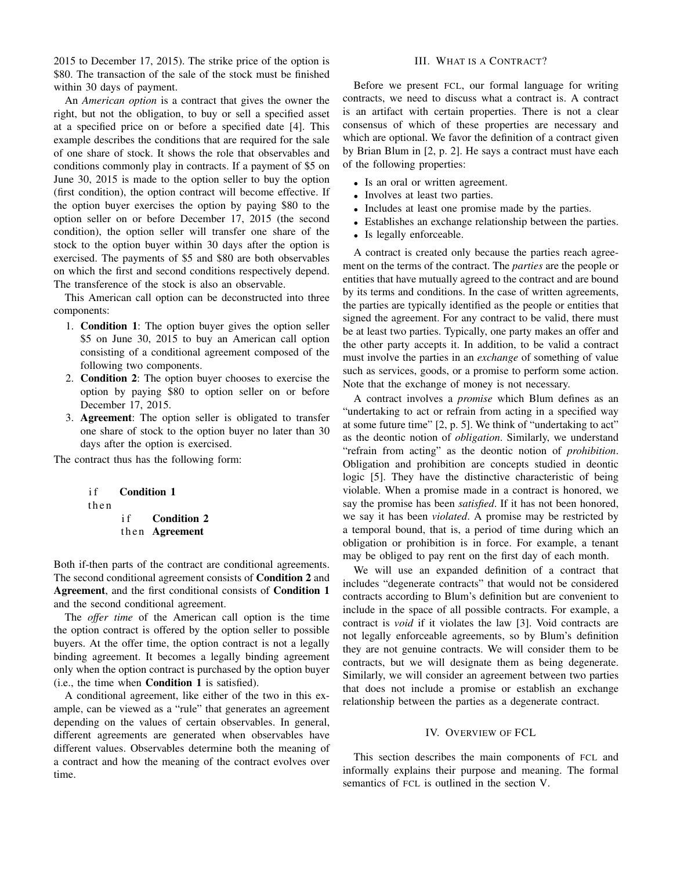2015 to December 17, 2015). The strike price of the option is \$80. The transaction of the sale of the stock must be finished within 30 days of payment.

An *American option* is a contract that gives the owner the right, but not the obligation, to buy or sell a specified asset at a specified price on or before a specified date [4]. This example describes the conditions that are required for the sale of one share of stock. It shows the role that observables and conditions commonly play in contracts. If a payment of \$5 on June 30, 2015 is made to the option seller to buy the option (first condition), the option contract will become effective. If the option buyer exercises the option by paying \$80 to the option seller on or before December 17, 2015 (the second condition), the option seller will transfer one share of the stock to the option buyer within 30 days after the option is exercised. The payments of \$5 and \$80 are both observables on which the first and second conditions respectively depend. The transference of the stock is also an observable.

This American call option can be deconstructed into three components:

- 1. Condition 1: The option buyer gives the option seller \$5 on June 30, 2015 to buy an American call option consisting of a conditional agreement composed of the following two components.
- 2. Condition 2: The option buyer chooses to exercise the option by paying \$80 to option seller on or before December 17, 2015.
- 3. Agreement: The option seller is obligated to transfer one share of stock to the option buyer no later than 30 days after the option is exercised.

The contract thus has the following form:

if **Condition 1** t h e n if **Condition 2** 

then Agreement

Both if-then parts of the contract are conditional agreements. The second conditional agreement consists of Condition 2 and Agreement, and the first conditional consists of Condition 1 and the second conditional agreement.

The *offer time* of the American call option is the time the option contract is offered by the option seller to possible buyers. At the offer time, the option contract is not a legally binding agreement. It becomes a legally binding agreement only when the option contract is purchased by the option buyer (i.e., the time when Condition 1 is satisfied).

A conditional agreement, like either of the two in this example, can be viewed as a "rule" that generates an agreement depending on the values of certain observables. In general, different agreements are generated when observables have different values. Observables determine both the meaning of a contract and how the meaning of the contract evolves over time.

## III. WHAT IS A CONTRACT?

Before we present FCL, our formal language for writing contracts, we need to discuss what a contract is. A contract is an artifact with certain properties. There is not a clear consensus of which of these properties are necessary and which are optional. We favor the definition of a contract given by Brian Blum in [2, p. 2]. He says a contract must have each of the following properties:

- Is an oral or written agreement.
- Involves at least two parties.
- Includes at least one promise made by the parties.
- Establishes an exchange relationship between the parties.
- Is legally enforceable.

A contract is created only because the parties reach agreement on the terms of the contract. The *parties* are the people or entities that have mutually agreed to the contract and are bound by its terms and conditions. In the case of written agreements, the parties are typically identified as the people or entities that signed the agreement. For any contract to be valid, there must be at least two parties. Typically, one party makes an offer and the other party accepts it. In addition, to be valid a contract must involve the parties in an *exchange* of something of value such as services, goods, or a promise to perform some action. Note that the exchange of money is not necessary.

A contract involves a *promise* which Blum defines as an "undertaking to act or refrain from acting in a specified way at some future time" [2, p. 5]. We think of "undertaking to act" as the deontic notion of *obligation*. Similarly, we understand "refrain from acting" as the deontic notion of *prohibition*. Obligation and prohibition are concepts studied in deontic logic [5]. They have the distinctive characteristic of being violable. When a promise made in a contract is honored, we say the promise has been *satisfied*. If it has not been honored, we say it has been *violated*. A promise may be restricted by a temporal bound, that is, a period of time during which an obligation or prohibition is in force. For example, a tenant may be obliged to pay rent on the first day of each month.

We will use an expanded definition of a contract that includes "degenerate contracts" that would not be considered contracts according to Blum's definition but are convenient to include in the space of all possible contracts. For example, a contract is *void* if it violates the law [3]. Void contracts are not legally enforceable agreements, so by Blum's definition they are not genuine contracts. We will consider them to be contracts, but we will designate them as being degenerate. Similarly, we will consider an agreement between two parties that does not include a promise or establish an exchange relationship between the parties as a degenerate contract.

#### IV. OVERVIEW OF FCL

This section describes the main components of FCL and informally explains their purpose and meaning. The formal semantics of FCL is outlined in the section V.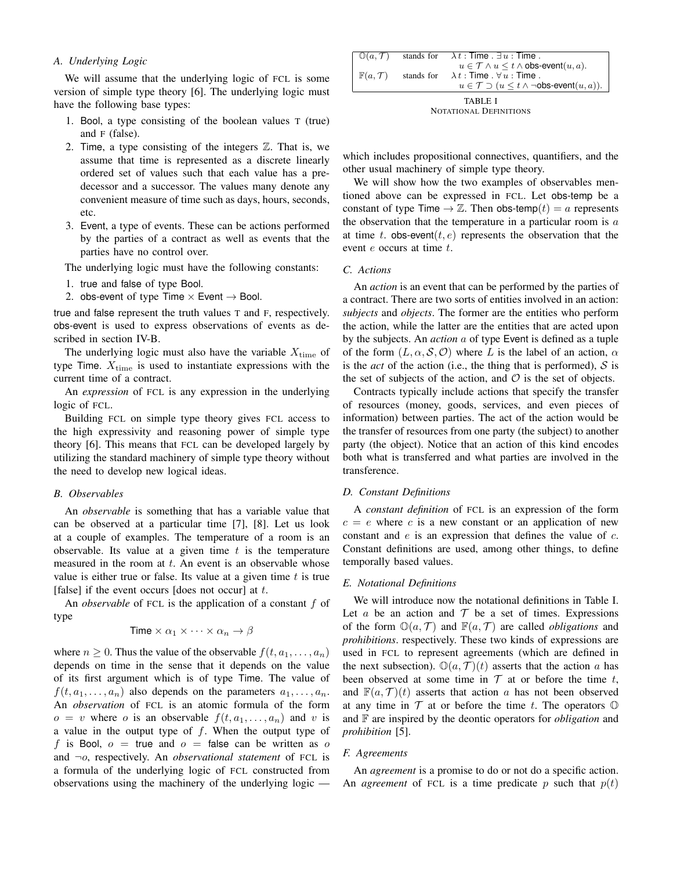# *A. Underlying Logic*

We will assume that the underlying logic of FCL is some version of simple type theory [6]. The underlying logic must have the following base types:

- 1. Bool, a type consisting of the boolean values T (true) and F (false).
- 2. Time, a type consisting of the integers  $\mathbb{Z}$ . That is, we assume that time is represented as a discrete linearly ordered set of values such that each value has a predecessor and a successor. The values many denote any convenient measure of time such as days, hours, seconds, etc.
- 3. Event, a type of events. These can be actions performed by the parties of a contract as well as events that the parties have no control over.

The underlying logic must have the following constants:

- 1. true and false of type Bool.
- 2. obs-event of type Time  $\times$  Event  $\rightarrow$  Bool.

true and false represent the truth values T and F, respectively. obs-event is used to express observations of events as described in section IV-B.

The underlying logic must also have the variable  $X_{time}$  of type Time.  $X_{time}$  is used to instantiate expressions with the current time of a contract.

An *expression* of FCL is any expression in the underlying logic of FCL.

Building FCL on simple type theory gives FCL access to the high expressivity and reasoning power of simple type theory [6]. This means that FCL can be developed largely by utilizing the standard machinery of simple type theory without the need to develop new logical ideas.

# *B. Observables*

An *observable* is something that has a variable value that can be observed at a particular time [7], [8]. Let us look at a couple of examples. The temperature of a room is an observable. Its value at a given time  $t$  is the temperature measured in the room at  $t$ . An event is an observable whose value is either true or false. Its value at a given time  $t$  is true [false] if the event occurs [does not occur] at  $t$ .

An *observable* of FCL is the application of a constant f of type

$$
\text{Time} \times \alpha_1 \times \dots \times \alpha_n \to \beta
$$

where  $n \geq 0$ . Thus the value of the observable  $f(t, a_1, \ldots, a_n)$ depends on time in the sense that it depends on the value of its first argument which is of type Time. The value of  $f(t, a_1, \ldots, a_n)$  also depends on the parameters  $a_1, \ldots, a_n$ . An *observation* of FCL is an atomic formula of the form  $o = v$  where o is an observable  $f(t, a_1, \ldots, a_n)$  and v is a value in the output type of  $f$ . When the output type of f is Bool,  $o = true$  and  $o = false$  can be written as o and ¬o, respectively. An *observational statement* of FCL is a formula of the underlying logic of FCL constructed from observations using the machinery of the underlying logic —

| $\mathbb{O}(a, \mathcal{T})$  |  | stands for $\lambda t$ : Time. $\exists u$ : Time.                                  |
|-------------------------------|--|-------------------------------------------------------------------------------------|
|                               |  | $u \in \mathcal{T} \wedge u \leq t \wedge \text{obs-event}(u, a).$                  |
| $\mathbb{F}(a, \mathcal{T})$  |  | stands for $\lambda t$ : Time. $\forall u$ : Time.                                  |
|                               |  | $u \in \mathcal{T} \supset (u \leq t \wedge \neg \mathsf{obs\text{-}event}(u, a)).$ |
| TABLE I                       |  |                                                                                     |
| <b>NOTATIONAL DEFINITIONS</b> |  |                                                                                     |

which includes propositional connectives, quantifiers, and the other usual machinery of simple type theory.

We will show how the two examples of observables mentioned above can be expressed in FCL. Let obs-temp be a constant of type Time  $\rightarrow \mathbb{Z}$ . Then obs-temp $(t) = a$  represents the observation that the temperature in a particular room is  $a$ at time t. obs-event $(t, e)$  represents the observation that the event e occurs at time t.

# *C. Actions*

An *action* is an event that can be performed by the parties of a contract. There are two sorts of entities involved in an action: *subjects* and *objects*. The former are the entities who perform the action, while the latter are the entities that are acted upon by the subjects. An *action* a of type Event is defined as a tuple of the form  $(L, \alpha, S, \mathcal{O})$  where L is the label of an action,  $\alpha$ is the *act* of the action (i.e., the thing that is performed),  $S$  is the set of subjects of the action, and  $\mathcal O$  is the set of objects.

Contracts typically include actions that specify the transfer of resources (money, goods, services, and even pieces of information) between parties. The act of the action would be the transfer of resources from one party (the subject) to another party (the object). Notice that an action of this kind encodes both what is transferred and what parties are involved in the transference.

#### *D. Constant Definitions*

A *constant definition* of FCL is an expression of the form  $c = e$  where c is a new constant or an application of new constant and e is an expression that defines the value of c. Constant definitions are used, among other things, to define temporally based values.

#### *E. Notational Definitions*

We will introduce now the notational definitions in Table I. Let  $a$  be an action and  $T$  be a set of times. Expressions of the form  $\mathbb{O}(a, \mathcal{T})$  and  $\mathbb{F}(a, \mathcal{T})$  are called *obligations* and *prohibitions*. respectively. These two kinds of expressions are used in FCL to represent agreements (which are defined in the next subsection).  $\mathbb{O}(a, \mathcal{T})(t)$  asserts that the action a has been observed at some time in  $T$  at or before the time t, and  $\mathbb{F}(a, \mathcal{T})(t)$  asserts that action a has not been observed at any time in  $T$  at or before the time t. The operators  $\mathbb O$ and F are inspired by the deontic operators for *obligation* and *prohibition* [5].

#### *F. Agreements*

An *agreement* is a promise to do or not do a specific action. An *agreement* of FCL is a time predicate p such that  $p(t)$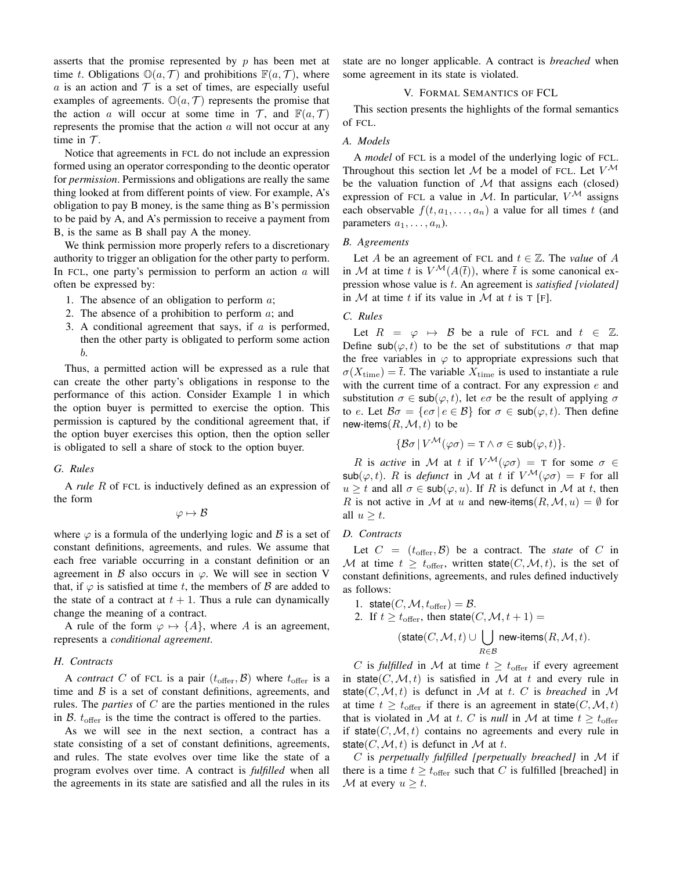asserts that the promise represented by  $p$  has been met at time t. Obligations  $\mathbb{O}(a, \mathcal{T})$  and prohibitions  $\mathbb{F}(a, \mathcal{T})$ , where a is an action and  $T$  is a set of times, are especially useful examples of agreements.  $\mathbb{O}(a, \mathcal{T})$  represents the promise that the action a will occur at some time in  $\mathcal{T}$ , and  $\mathbb{F}(a, \mathcal{T})$ represents the promise that the action  $a$  will not occur at any time in  $T$ .

Notice that agreements in FCL do not include an expression formed using an operator corresponding to the deontic operator for *permission*. Permissions and obligations are really the same thing looked at from different points of view. For example, A's obligation to pay B money, is the same thing as B's permission to be paid by A, and A's permission to receive a payment from B, is the same as B shall pay A the money.

We think permission more properly refers to a discretionary authority to trigger an obligation for the other party to perform. In FCL, one party's permission to perform an action  $a$  will often be expressed by:

- 1. The absence of an obligation to perform  $a$ ;
- 2. The absence of a prohibition to perform  $a$ ; and
- 3. A conditional agreement that says, if  $a$  is performed, then the other party is obligated to perform some action b.

Thus, a permitted action will be expressed as a rule that can create the other party's obligations in response to the performance of this action. Consider Example 1 in which the option buyer is permitted to exercise the option. This permission is captured by the conditional agreement that, if the option buyer exercises this option, then the option seller is obligated to sell a share of stock to the option buyer.

### *G. Rules*

A *rule* R of FCL is inductively defined as an expression of the form

 $\varphi \mapsto \mathcal{B}$ 

where  $\varphi$  is a formula of the underlying logic and B is a set of constant definitions, agreements, and rules. We assume that each free variable occurring in a constant definition or an agreement in B also occurs in  $\varphi$ . We will see in section V that, if  $\varphi$  is satisfied at time t, the members of  $\beta$  are added to the state of a contract at  $t + 1$ . Thus a rule can dynamically change the meaning of a contract.

A rule of the form  $\varphi \mapsto \{A\}$ , where A is an agreement, represents a *conditional agreement*.

# *H. Contracts*

A *contract* C of FCL is a pair  $(t_{\text{offer}}, \mathcal{B})$  where  $t_{\text{offer}}$  is a time and  $\beta$  is a set of constant definitions, agreements, and rules. The *parties* of C are the parties mentioned in the rules in  $\beta$ .  $t_{\text{offer}}$  is the time the contract is offered to the parties.

As we will see in the next section, a contract has a state consisting of a set of constant definitions, agreements, and rules. The state evolves over time like the state of a program evolves over time. A contract is *fulfilled* when all the agreements in its state are satisfied and all the rules in its state are no longer applicable. A contract is *breached* when some agreement in its state is violated.

# V. FORMAL SEMANTICS OF FCL

This section presents the highlights of the formal semantics of FCL.

#### *A. Models*

A *model* of FCL is a model of the underlying logic of FCL. Throughout this section let M be a model of FCL. Let  $V^{\mathcal{M}}$ be the valuation function of  $M$  that assigns each (closed) expression of FCL a value in M. In particular,  $V^{\mathcal{M}}$  assigns each observable  $f(t, a_1, \ldots, a_n)$  a value for all times t (and parameters  $a_1, \ldots, a_n$ ).

#### *B. Agreements*

Let A be an agreement of FCL and  $t \in \mathbb{Z}$ . The *value* of A in M at time t is  $V^{\mathcal{M}}(A(\bar{t}))$ , where  $\bar{t}$  is some canonical expression whose value is t. An agreement is *satisfied [violated]* in  $M$  at time t if its value in  $M$  at t is T [F].

# *C. Rules*

Let  $R = \varphi \mapsto \mathcal{B}$  be a rule of FCL and  $t \in \mathbb{Z}$ . Define sub $(\varphi, t)$  to be the set of substitutions  $\sigma$  that map the free variables in  $\varphi$  to appropriate expressions such that  $\sigma(X_{time}) = \overline{t}$ . The variable  $X_{time}$  is used to instantiate a rule with the current time of a contract. For any expression  $e$  and substitution  $\sigma \in \text{sub}(\varphi, t)$ , let  $e\sigma$  be the result of applying  $\sigma$ to e. Let  $\mathcal{B}\sigma = \{e\sigma \mid e \in \mathcal{B}\}\$  for  $\sigma \in \mathsf{sub}(\varphi, t)$ . Then define new-items $(R, \mathcal{M}, t)$  to be

$$
\{\mathcal{B}\sigma \mid V^{\mathcal{M}}(\varphi\sigma) = \mathbf{T} \wedge \sigma \in \mathsf{sub}(\varphi, t)\}.
$$

R is *active* in M at t if  $V^{\mathcal{M}}(\varphi \sigma) = T$  for some  $\sigma \in$  $\mathsf{sub}(\varphi, t)$ . R is *defunct* in M at t if  $V^{\mathcal{M}}(\varphi \sigma) = F$  for all  $u \geq t$  and all  $\sigma \in \mathsf{sub}(\varphi, u)$ . If R is defunct in M at t, then R is not active in M at u and new-items  $(R, M, u) = \emptyset$  for all  $u \geq t$ .

# *D. Contracts*

Let  $C = (t_{\text{offer}}, \mathcal{B})$  be a contract. The *state* of C in M at time  $t \geq t_{\text{offer}}$ , written state $(C, \mathcal{M}, t)$ , is the set of constant definitions, agreements, and rules defined inductively as follows:

1. state( $C, \mathcal{M}, t_{\text{offer}}$ ) =  $\mathcal{B}.$ 2. If  $t \geq t_{\text{offer}}$ , then state $(C, \mathcal{M}, t + 1) =$  $(\textsf{state}(C, \mathcal{M}, t) \cup \begin{bmatrix} \end{bmatrix}$ R∈B new-items $(R,\mathcal{M},t).$ 

C is *fulfilled* in M at time  $t \geq t_{\text{offer}}$  if every agreement in state(C, M, t) is satisfied in M at t and every rule in state( $C, M, t$ ) is defunct in M at t. C is *breached* in M at time  $t \geq t_{\text{offer}}$  if there is an agreement in state $(C, \mathcal{M}, t)$ that is violated in M at t. C is *null* in M at time  $t \geq t_{\text{offer}}$ if state( $C, M, t$ ) contains no agreements and every rule in state(C, M, t) is defunct in M at t.

C is *perpetually fulfilled [perpetually breached]* in M if there is a time  $t \geq t_{\text{offer}}$  such that C is fulfilled [breached] in M at every  $u \geq t$ .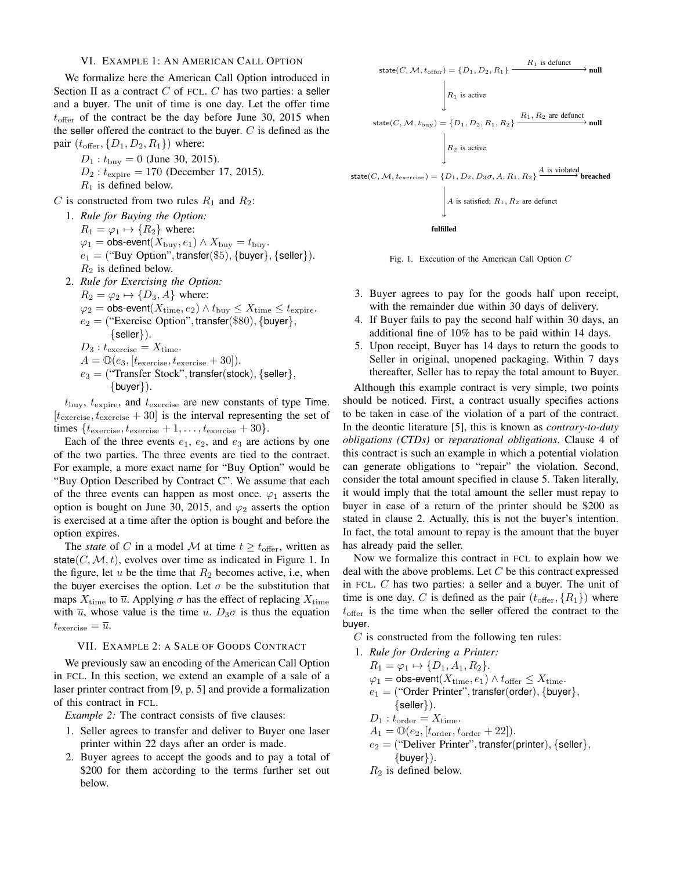## VI. EXAMPLE 1: AN AMERICAN CALL OPTION

We formalize here the American Call Option introduced in Section II as a contract  $C$  of FCL.  $C$  has two parties: a seller and a buyer. The unit of time is one day. Let the offer time  $t_{\rm offer}$  of the contract be the day before June 30, 2015 when the seller offered the contract to the buyer.  $C$  is defined as the pair  $(t_{\text{offer}}, \{D_1, D_2, R_1\})$  where:

 $D_1$ :  $t_{\text{buy}} = 0$  (June 30, 2015).

- $D_2: t_{\text{expire}} = 170$  (December 17, 2015).
- $R_1$  is defined below.
- C is constructed from two rules  $R_1$  and  $R_2$ :

1. *Rule for Buying the Option:*  $R_1 = \varphi_1 \mapsto \{R_2\}$  where:  $\varphi_1 = \text{obs-event}(X_{\text{buy}}, e_1) \wedge X_{\text{buy}} = t_{\text{buy}}.$  $e_1 =$  ("Buy Option", transfer(\$5), {buyer}, {seller}).  $R_2$  is defined below. 2. *Rule for Exercising the Option:*  $R_2 = \varphi_2 \mapsto \{D_3, A\}$  where:

 $\varphi_2 = \text{obs-event}(X_{time}, e_2) \wedge t_{buy} \leq X_{time} \leq t_{expire}.$  $e_2 =$  ("Exercise Option", transfer(\$80), {buyer}, {seller}).  $D_3: t_{\text{exercise}} = X_{\text{time}}.$  $A = \mathbb{O}(e_3, [t_{\text{exercise}}, t_{\text{exercise}} + 30]).$  $e_3 =$  ("Transfer Stock", transfer(stock), {seller},  $\{buyer\}$ ).

 $t_{\text{buy}}$ ,  $t_{\text{expire}}$ , and  $t_{\text{exercise}}$  are new constants of type Time.  $[t_{\text{exercise}}, t_{\text{exercise}} + 30]$  is the interval representing the set of times  $\{t_{\text{exercise}}, t_{\text{exercise}} + 1, \ldots, t_{\text{exercise}} + 30\}.$ 

Each of the three events  $e_1, e_2$ , and  $e_3$  are actions by one of the two parties. The three events are tied to the contract. For example, a more exact name for "Buy Option" would be "Buy Option Described by Contract C". We assume that each of the three events can happen as most once.  $\varphi_1$  asserts the option is bought on June 30, 2015, and  $\varphi_2$  asserts the option is exercised at a time after the option is bought and before the option expires.

The *state* of C in a model M at time  $t \geq t_{\text{offer}}$ , written as state( $C, M, t$ ), evolves over time as indicated in Figure 1. In the figure, let  $u$  be the time that  $R_2$  becomes active, i.e, when the buyer exercises the option. Let  $\sigma$  be the substitution that maps  $X_{time}$  to  $\overline{u}$ . Applying  $\sigma$  has the effect of replacing  $X_{time}$ with  $\overline{u}$ , whose value is the time u.  $D_3\sigma$  is thus the equation  $t_{\text{exercise}} = \overline{u}.$ 

# VII. EXAMPLE 2: A SALE OF GOODS CONTRACT

We previously saw an encoding of the American Call Option in FCL. In this section, we extend an example of a sale of a laser printer contract from [9, p. 5] and provide a formalization of this contract in FCL.

*Example 2:* The contract consists of five clauses:

- 1. Seller agrees to transfer and deliver to Buyer one laser printer within 22 days after an order is made.
- 2. Buyer agrees to accept the goods and to pay a total of \$200 for them according to the terms further set out below.





- 3. Buyer agrees to pay for the goods half upon receipt, with the remainder due within 30 days of delivery.
- 4. If Buyer fails to pay the second half within 30 days, an additional fine of 10% has to be paid within 14 days.
- 5. Upon receipt, Buyer has 14 days to return the goods to Seller in original, unopened packaging. Within 7 days thereafter, Seller has to repay the total amount to Buyer.

Although this example contract is very simple, two points should be noticed. First, a contract usually specifies actions to be taken in case of the violation of a part of the contract. In the deontic literature [5], this is known as *contrary-to-duty obligations (CTDs)* or *reparational obligations*. Clause 4 of this contract is such an example in which a potential violation can generate obligations to "repair" the violation. Second, consider the total amount specified in clause 5. Taken literally, it would imply that the total amount the seller must repay to buyer in case of a return of the printer should be \$200 as stated in clause 2. Actually, this is not the buyer's intention. In fact, the total amount to repay is the amount that the buyer has already paid the seller.

Now we formalize this contract in FCL to explain how we deal with the above problems. Let  $C$  be this contract expressed in FCL. C has two parties: a seller and a buyer. The unit of time is one day. C is defined as the pair  $(t_{\text{offer}}, \{R_1\})$  where  $t_{\rm offer}$  is the time when the seller offered the contract to the buyer.

 $C$  is constructed from the following ten rules:

1. *Rule for Ordering a Printer:*  $R_1 = \varphi_1 \mapsto \{D_1, A_1, R_2\}.$  $\varphi_1 = \text{obs-event}(X_{time}, e_1) \wedge t_{\text{offer}} \leq X_{time}.$  $e_1$  = ("Order Printer", transfer(order), {buyer},  $\{$  seller $\}$ ).  $D_1: t_{\text{order}} = X_{\text{time}}.$  $A_1 = \mathbb{O}(e_2, [t_{\text{order}}, t_{\text{order}} + 22]).$  $e_2$  = ("Deliver Printer", transfer(printer), {seller},  $\{buyer\}$ ).  $R_2$  is defined below.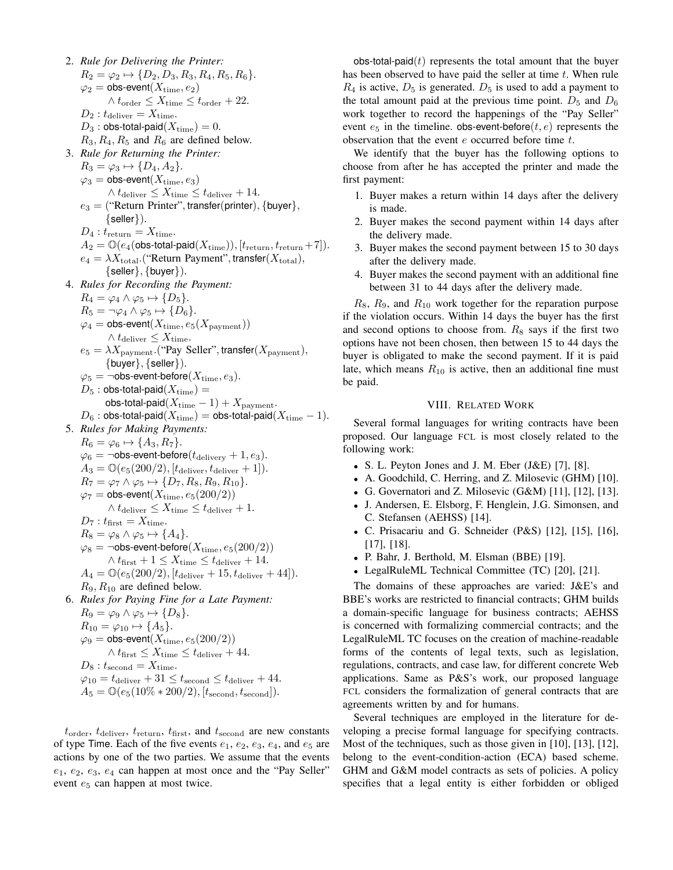2. *Rule for Delivering the Printer:*  $R_2 = \varphi_2 \mapsto \{D_2, D_3, R_3, R_4, R_5, R_6\}.$  $\varphi_2 = \text{obs-event}(X_{time}, e_2)$  $\wedge$   $t_\text{order}$   $\leq$   $X_\text{time}$   $\leq$   $t_\text{order}$  + 22.  $D_2: t_{\text{deliver}} = X_{\text{time}}.$  $D_3$ : obs-total-paid $(X_{time}) = 0$ .  $R_3, R_4, R_5$  and  $R_6$  are defined below. 3. *Rule for Returning the Printer:*  $R_3 = \varphi_3 \mapsto \{D_4, A_2\}.$  $\varphi_3 = \textsf{obs-event}(X_{\text{time}}, e_3)$  $\wedge t_{\text{deliver}} \leq X_{\text{time}} \leq t_{\text{deliver}} + 14.$  $e_3 =$  ("Return Printer", transfer(printer), {buyer},  $\{$  seller $\}$ ).  $D_4: t_{\text{return}} = X_{\text{time}}.$  $A_2 = \mathbb{O}(e_4($ obs-total-paid $(X_{\text{time}})), [t_{\text{return}}, t_{\text{return}}+7]).$  $e_4 = \lambda X_{\text{total}}$ . ("Return Payment", transfer $(X_{\text{total}})$ ,  $\{$  seller $\}$ ,  $\{$  buyer $\}$ ). 4. *Rules for Recording the Payment:*  $R_4 = \varphi_4 \wedge \varphi_5 \mapsto \{D_5\}.$  $R_5 = \neg \varphi_4 \wedge \varphi_5 \mapsto \{D_6\}.$  $\varphi_4 = \mathsf{obs\text{-}event}(X_{time}, e_5(X_{\text{payment}}))$  $\wedge t_{\text{deliver}} \leq X_{\text{time}}.$  $e_5 = \lambda X_{\text{payment}}$ . ("Pay Seller", transfer $(X_{\text{payment}})$ ,  $\{buyer\}, \{seller\}).$  $\varphi_5 = \neg \textsf{obs-event-before}(X_{\text{time}}, e_3).$  $D_5$ : obs-total-paid $(X_{time}) =$ obs-total-paid $(X_{time} - 1) + X_{payment}$ .  $D_6$  : obs-total-paid $(X_{\text{time}}) =$  obs-total-paid $(X_{\text{time}} - 1)$ . 5. *Rules for Making Payments:*  $R_6 = \varphi_6 \mapsto \{A_3, R_7\}.$  $\varphi_6 = \neg \textsf{obs-event-before}(t_{\text{delay}} + 1, e_3).$  $A_3 = \mathbb{O}(e_5(200/2), [t_{\text{deliver}}, t_{\text{deliver}} + 1]).$  $R_7 = \varphi_7 \wedge \varphi_5 \mapsto \{D_7, R_8, R_9, R_{10}\}.$  $\varphi_7 = \text{obs-event}(X_{time}, e_5(200/2))$  $\wedge t_{\text{deliver}} \leq X_{\text{time}} \leq t_{\text{deliver}} + 1.$  $D_7: t_{\text{first}} = X_{\text{time}}.$  $R_8 = \varphi_8 \wedge \varphi_5 \mapsto \{A_4\}.$  $\varphi_8 = \neg \textsf{obs-event-before}(X_{\text{time}}, e_5(200/2))$  $\wedge$   $t_{\rm first}+1 \leq X_{\rm time} \leq t_{\rm deliver}+14.$  $A_4 = \mathbb{O}(e_5(200/2), [t_{\text{deliver}} + 15, t_{\text{deliver}} + 44]).$  $R_9, R_{10}$  are defined below. 6. *Rules for Paying Fine for a Late Payment:*  $R_9 = \varphi_9 \wedge \varphi_5 \mapsto \{D_8\}.$  $R_{10} = \varphi_{10} \mapsto \{A_5\}.$  $\varphi_9 = \text{obs-event}(X_{\text{time}}, e_5(200/2))$  $\wedge t_{\text{first}} \leq X_{\text{time}} \leq t_{\text{deliver}} + 44.$  $D_8: t_{\text{second}} = X_{\text{time}}.$  $\varphi_{10} = t_{\text{deliver}} + 31 \leq t_{\text{second}} \leq t_{\text{deliver}} + 44.$  $A_5 = \mathbb{O}(e_5(10\% * 200/2), [t_{\text{second}}, t_{\text{second}}]).$ 

 $t_{\text{order}}$ ,  $t_{\text{deliver}}$ ,  $t_{\text{return}}$ ,  $t_{\text{first}}$ , and  $t_{\text{second}}$  are new constants of type Time. Each of the five events  $e_1, e_2, e_3, e_4$ , and  $e_5$  are actions by one of the two parties. We assume that the events  $e_1, e_2, e_3, e_4$  can happen at most once and the "Pay Seller" event  $e_5$  can happen at most twice.

obs-total-paid $(t)$  represents the total amount that the buyer has been observed to have paid the seller at time  $t$ . When rule  $R_4$  is active,  $D_5$  is generated.  $D_5$  is used to add a payment to the total amount paid at the previous time point.  $D_5$  and  $D_6$ work together to record the happenings of the "Pay Seller" event  $e_5$  in the timeline. obs-event-before $(t, e)$  represents the observation that the event  $e$  occurred before time  $t$ .

We identify that the buyer has the following options to choose from after he has accepted the printer and made the first payment:

- 1. Buyer makes a return within 14 days after the delivery is made.
- 2. Buyer makes the second payment within 14 days after the delivery made.
- 3. Buyer makes the second payment between 15 to 30 days after the delivery made.
- 4. Buyer makes the second payment with an additional fine between 31 to 44 days after the delivery made.

 $R_8$ ,  $R_9$ , and  $R_{10}$  work together for the reparation purpose if the violation occurs. Within 14 days the buyer has the first and second options to choose from.  $R_8$  says if the first two options have not been chosen, then between 15 to 44 days the buyer is obligated to make the second payment. If it is paid late, which means  $R_{10}$  is active, then an additional fine must be paid.

# VIII. RELATED WORK

Several formal languages for writing contracts have been proposed. Our language FCL is most closely related to the following work:

- S. L. Peyton Jones and J. M. Eber (J&E) [7], [8].
- A. Goodchild, C. Herring, and Z. Milosevic (GHM) [10].
- G. Governatori and Z. Milosevic  $(G&M)$  [11], [12], [13].
- J. Andersen, E. Elsborg, F. Henglein, J.G. Simonsen, and C. Stefansen (AEHSS) [14].
- C. Prisacariu and G. Schneider (P&S) [12], [15], [16], [17], [18].
- P. Bahr, J. Berthold, M. Elsman (BBE) [19].
- LegalRuleML Technical Committee (TC) [20], [21].

The domains of these approaches are varied: J&E's and BBE's works are restricted to financial contracts; GHM builds a domain-specific language for business contracts; AEHSS is concerned with formalizing commercial contracts; and the LegalRuleML TC focuses on the creation of machine-readable forms of the contents of legal texts, such as legislation, regulations, contracts, and case law, for different concrete Web applications. Same as P&S's work, our proposed language FCL considers the formalization of general contracts that are agreements written by and for humans.

Several techniques are employed in the literature for developing a precise formal language for specifying contracts. Most of the techniques, such as those given in [10], [13], [12], belong to the event-condition-action (ECA) based scheme. GHM and G&M model contracts as sets of policies. A policy specifies that a legal entity is either forbidden or obliged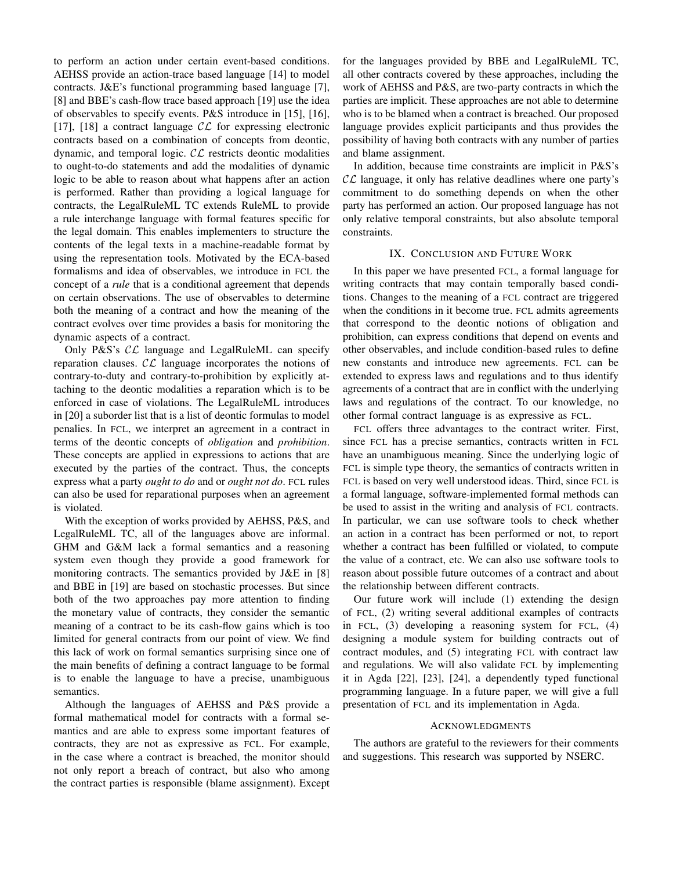to perform an action under certain event-based conditions. AEHSS provide an action-trace based language [14] to model contracts. J&E's functional programming based language [7], [8] and BBE's cash-flow trace based approach [19] use the idea of observables to specify events. P&S introduce in [15], [16], [17], [18] a contract language  $\mathcal{CL}$  for expressing electronic contracts based on a combination of concepts from deontic, dynamic, and temporal logic.  $CL$  restricts deontic modalities to ought-to-do statements and add the modalities of dynamic logic to be able to reason about what happens after an action is performed. Rather than providing a logical language for contracts, the LegalRuleML TC extends RuleML to provide a rule interchange language with formal features specific for the legal domain. This enables implementers to structure the contents of the legal texts in a machine-readable format by using the representation tools. Motivated by the ECA-based formalisms and idea of observables, we introduce in FCL the concept of a *rule* that is a conditional agreement that depends on certain observations. The use of observables to determine both the meaning of a contract and how the meaning of the contract evolves over time provides a basis for monitoring the dynamic aspects of a contract.

Only P&S's  $CL$  language and LegalRuleML can specify reparation clauses.  $CL$  language incorporates the notions of contrary-to-duty and contrary-to-prohibition by explicitly attaching to the deontic modalities a reparation which is to be enforced in case of violations. The LegalRuleML introduces in [20] a suborder list that is a list of deontic formulas to model penalies. In FCL, we interpret an agreement in a contract in terms of the deontic concepts of *obligation* and *prohibition*. These concepts are applied in expressions to actions that are executed by the parties of the contract. Thus, the concepts express what a party *ought to do* and or *ought not do*. FCL rules can also be used for reparational purposes when an agreement is violated.

With the exception of works provided by AEHSS, P&S, and LegalRuleML TC, all of the languages above are informal. GHM and G&M lack a formal semantics and a reasoning system even though they provide a good framework for monitoring contracts. The semantics provided by J&E in [8] and BBE in [19] are based on stochastic processes. But since both of the two approaches pay more attention to finding the monetary value of contracts, they consider the semantic meaning of a contract to be its cash-flow gains which is too limited for general contracts from our point of view. We find this lack of work on formal semantics surprising since one of the main benefits of defining a contract language to be formal is to enable the language to have a precise, unambiguous semantics.

Although the languages of AEHSS and P&S provide a formal mathematical model for contracts with a formal semantics and are able to express some important features of contracts, they are not as expressive as FCL. For example, in the case where a contract is breached, the monitor should not only report a breach of contract, but also who among the contract parties is responsible (blame assignment). Except for the languages provided by BBE and LegalRuleML TC, all other contracts covered by these approaches, including the work of AEHSS and P&S, are two-party contracts in which the parties are implicit. These approaches are not able to determine who is to be blamed when a contract is breached. Our proposed language provides explicit participants and thus provides the possibility of having both contracts with any number of parties and blame assignment.

In addition, because time constraints are implicit in P&S's  $\mathcal{CL}$  language, it only has relative deadlines where one party's commitment to do something depends on when the other party has performed an action. Our proposed language has not only relative temporal constraints, but also absolute temporal constraints.

# IX. CONCLUSION AND FUTURE WORK

In this paper we have presented FCL, a formal language for writing contracts that may contain temporally based conditions. Changes to the meaning of a FCL contract are triggered when the conditions in it become true. FCL admits agreements that correspond to the deontic notions of obligation and prohibition, can express conditions that depend on events and other observables, and include condition-based rules to define new constants and introduce new agreements. FCL can be extended to express laws and regulations and to thus identify agreements of a contract that are in conflict with the underlying laws and regulations of the contract. To our knowledge, no other formal contract language is as expressive as FCL.

FCL offers three advantages to the contract writer. First, since FCL has a precise semantics, contracts written in FCL have an unambiguous meaning. Since the underlying logic of FCL is simple type theory, the semantics of contracts written in FCL is based on very well understood ideas. Third, since FCL is a formal language, software-implemented formal methods can be used to assist in the writing and analysis of FCL contracts. In particular, we can use software tools to check whether an action in a contract has been performed or not, to report whether a contract has been fulfilled or violated, to compute the value of a contract, etc. We can also use software tools to reason about possible future outcomes of a contract and about the relationship between different contracts.

Our future work will include (1) extending the design of FCL, (2) writing several additional examples of contracts in FCL, (3) developing a reasoning system for FCL, (4) designing a module system for building contracts out of contract modules, and (5) integrating FCL with contract law and regulations. We will also validate FCL by implementing it in Agda [22], [23], [24], a dependently typed functional programming language. In a future paper, we will give a full presentation of FCL and its implementation in Agda.

#### ACKNOWLEDGMENTS

The authors are grateful to the reviewers for their comments and suggestions. This research was supported by NSERC.